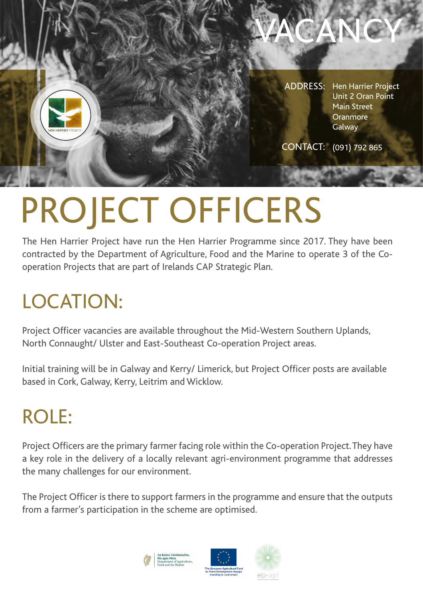

CONTACT: (091) 792 865

VACANCY

# PROJECT OFFICERS

The Hen Harrier Project have run the Hen Harrier Programme since 2017. They have been contracted by the Department of Agriculture, Food and the Marine to operate 3 of the Cooperation Projects that are part of Irelands CAP Strategic Plan.

## LOCATION:

Project Officer vacancies are available throughout the Mid-Western Southern Uplands, North Connaught/ Ulster and East-Southeast Co-operation Project areas.

Initial training will be in Galway and Kerry/ Limerick, but Project Officer posts are available based in Cork, Galway, Kerry, Leitrim and Wicklow.

### ROLE:

Project Officers are the primary farmer facing role within the Co-operation Project. They have a key role in the delivery of a locally relevant agri-environment programme that addresses the many challenges for our environment.

The Project Officer is there to support farmers in the programme and ensure that the outputs from a farmer's participation in the scheme are optimised.

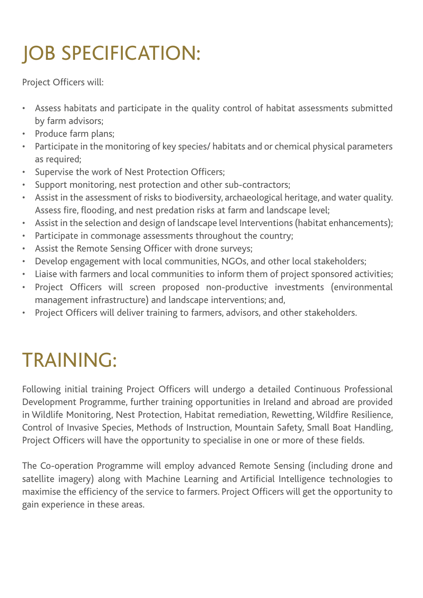## JOB SPECIFICATION:

Project Officers will:

- Assess habitats and participate in the quality control of habitat assessments submitted by farm advisors;
- Produce farm plans;
- Participate in the monitoring of key species/ habitats and or chemical physical parameters as required;
- Supervise the work of Nest Protection Officers;
- Support monitoring, nest protection and other sub-contractors;
- Assist in the assessment of risks to biodiversity, archaeological heritage, and water quality. Assess fire, flooding, and nest predation risks at farm and landscape level;
- Assist in the selection and design of landscape level Interventions (habitat enhancements);
- Participate in commonage assessments throughout the country;
- Assist the Remote Sensing Officer with drone surveys;
- Develop engagement with local communities, NGOs, and other local stakeholders;
- Liaise with farmers and local communities to inform them of project sponsored activities;
- Project Officers will screen proposed non-productive investments (environmental management infrastructure) and landscape interventions; and,
- Project Officers will deliver training to farmers, advisors, and other stakeholders.

## TRAINING:

Following initial training Project Officers will undergo a detailed Continuous Professional Development Programme, further training opportunities in Ireland and abroad are provided in Wildlife Monitoring, Nest Protection, Habitat remediation, Rewetting, Wildfire Resilience, Control of Invasive Species, Methods of Instruction, Mountain Safety, Small Boat Handling, Project Officers will have the opportunity to specialise in one or more of these fields.

The Co-operation Programme will employ advanced Remote Sensing (including drone and satellite imagery) along with Machine Learning and Artificial Intelligence technologies to maximise the efficiency of the service to farmers. Project Officers will get the opportunity to gain experience in these areas.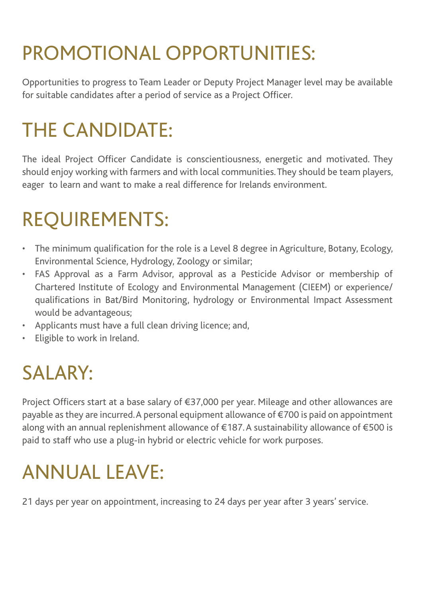## PROMOTIONAL OPPORTUNITIES:

Opportunities to progress to Team Leader or Deputy Project Manager level may be available for suitable candidates after a period of service as a Project Officer.

#### THE CANDIDATE:

The ideal Project Officer Candidate is conscientiousness, energetic and motivated. They should enjoy working with farmers and with local communities. They should be team players, eager to learn and want to make a real difference for Irelands environment.

#### REQUIREMENTS:

- The minimum qualification for the role is a Level 8 degree in Agriculture, Botany, Ecology, Environmental Science, Hydrology, Zoology or similar;
- FAS Approval as a Farm Advisor, approval as a Pesticide Advisor or membership of Chartered Institute of Ecology and Environmental Management (CIEEM) or experience/ qualifications in Bat/Bird Monitoring, hydrology or Environmental Impact Assessment would be advantageous;
- Applicants must have a full clean driving licence; and,
- Eligible to work in Ireland.

### SALARY:

Project Officers start at a base salary of €37,000 per year. Mileage and other allowances are payable as they are incurred. A personal equipment allowance of  $\epsilon$ 700 is paid on appointment along with an annual replenishment allowance of  $\epsilon$ 187. A sustainability allowance of  $\epsilon$ 500 is paid to staff who use a plug-in hybrid or electric vehicle for work purposes.

## ANNUAL LEAVE:

21 days per year on appointment, increasing to 24 days per year after 3 years' service.